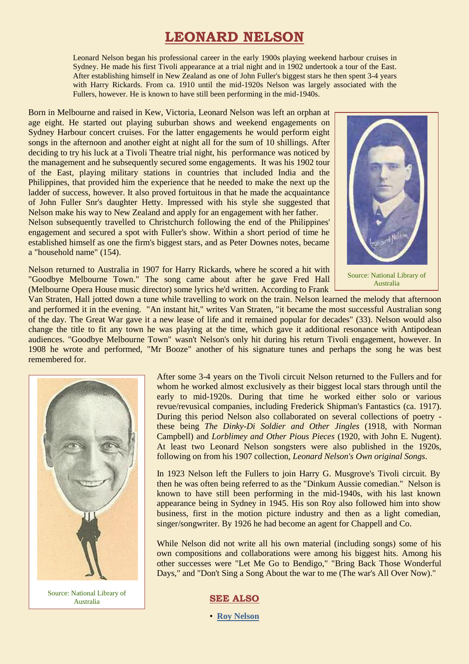# **LEONARD NELSON**

Leonard Nelson began his professional career in the early 1900s playing weekend harbour cruises in Sydney. He made his first Tivoli appearance at a trial night and in 1902 undertook a tour of the East. After establishing himself in New Zealand as one of John Fuller's biggest stars he then spent 3-4 years with Harry Rickards. From ca. 1910 until the mid-1920s Nelson was largely associated with the Fullers, however. He is known to have still been performing in the mid-1940s.

Born in Melbourne and raised in Kew, Victoria, Leonard Nelson was left an orphan at age eight. He started out playing suburban shows and weekend engagements on Sydney Harbour concert cruises. For the latter engagements he would perform eight songs in the afternoon and another eight at night all for the sum of 10 shillings. After deciding to try his luck at a Tivoli Theatre trial night, his performance was noticed by the management and he subsequently secured some engagements. It was his 1902 tour of the East, playing military stations in countries that included India and the Philippines, that provided him the experience that he needed to make the next up the ladder of success, however. It also proved fortuitous in that he made the acquaintance of John Fuller Snr's daughter Hetty. Impressed with his style she suggested that Nelson make his way to New Zealand and apply for an engagement with her father.

Nelson subsequently travelled to Christchurch following the end of the Philippines' engagement and secured a spot with Fuller's show. Within a short period of time he established himself as one the firm's biggest stars, and as Peter Downes notes, became a "household name" (154).



Nelson returned to Australia in 1907 for Harry Rickards, where he scored a hit with "Goodbye Melbourne Town." The song came about after he gave Fred Hall (Melbourne Opera House music director) some lyrics he'd written. According to Frank

Source: National Library of Australia

Van Straten, Hall jotted down a tune while travelling to work on the train. Nelson learned the melody that afternoon and performed it in the evening. "An instant hit," writes Van Straten, "it became the most successful Australian song of the day. The Great War gave it a new lease of life and it remained popular for decades" (33). Nelson would also change the title to fit any town he was playing at the time, which gave it additional resonance with Antipodean audiences. "Goodbye Melbourne Town" wasn't Nelson's only hit during his return Tivoli engagement, however. In 1908 he wrote and performed, "Mr Booze" another of his signature tunes and perhaps the song he was best remembered for.



After some 3-4 years on the Tivoli circuit Nelson returned to the Fullers and for whom he worked almost exclusively as their biggest local stars through until the early to mid-1920s. During that time he worked either solo or various revue/revusical companies, including Frederick Shipman's Fantastics (ca. 1917). During this period Nelson also collaborated on several collections of poetry these being *The Dinky-Di Soldier and Other Jingles* (1918, with Norman Campbell) and *Lorblimey and Other Pious Pieces* (1920, with John E. Nugent). At least two Leonard Nelson songsters were also published in the 1920s, following on from his 1907 collection, *Leonard Nelson's Own original Songs*.

In 1923 Nelson left the Fullers to join Harry G. Musgrove's Tivoli circuit. By then he was often being referred to as the "Dinkum Aussie comedian." Nelson is known to have still been performing in the mid-1940s, with his last known appearance being in Sydney in 1945. His son Roy also followed him into show business, first in the motion picture industry and then as a light comedian, singer/songwriter. By 1926 he had become an agent for Chappell and Co.

While Nelson did not write all his own material (including songs) some of his own compositions and collaborations were among his biggest hits. Among his other successes were "Let Me Go to Bendigo," "Bring Back Those Wonderful Days," and "Don't Sing a Song About the war to me (The war's All Over Now)."

Source: National Library of Australia

#### **SEE ALSO**

• **[Roy Nelson](http://ozvta.com/industry-m-z/)**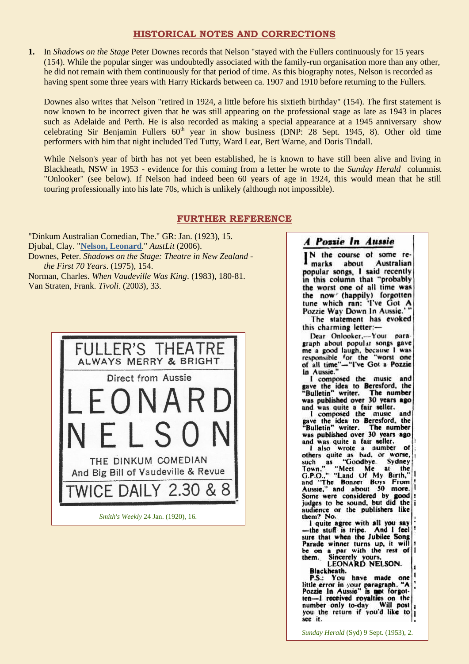## **HISTORICAL NOTES AND CORRECTIONS**

**1.** In *Shadows on the Stage* Peter Downes records that Nelson "stayed with the Fullers continuously for 15 years (154). While the popular singer was undoubtedly associated with the family-run organisation more than any other, he did not remain with them continuously for that period of time. As this biography notes, Nelson is recorded as having spent some three years with Harry Rickards between ca. 1907 and 1910 before returning to the Fullers.

Downes also writes that Nelson "retired in 1924, a little before his sixtieth birthday" (154). The first statement is now known to be incorrect given that he was still appearing on the professional stage as late as 1943 in places such as Adelaide and Perth. He is also recorded as making a special appearance at a 1945 anniversary show celebrating Sir Benjamin Fullers 60<sup>th</sup> year in show business (DNP: 28 Sept. 1945, 8). Other old time performers with him that night included Ted Tutty, Ward Lear, Bert Warne, and Doris Tindall.

While Nelson's year of birth has not yet been established, he is known to have still been alive and living in Blackheath, NSW in 1953 - evidence for this coming from a letter he wrote to the *Sunday Herald* columnist "Onlooker" (see below). If Nelson had indeed been 60 years of age in 1924, this would mean that he still touring professionally into his late 70s, which is unlikely (although not impossible).

### **FURTHER REFERENCE**

"Dinkum Australian Comedian, The." GR: Jan. (1923), 15. Djubal, Clay. "**[Nelson, Leonard](http://www.austlit.edu.au/run?ex=ShowAgent&agentId=A%231a)**." *AustLit* (2006). Downes, Peter. *Shadows on the Stage: Theatre in New Zealand the First 70 Years*. (1975), 154. Norman, Charles. *When Vaudeville Was King*. (1983), 180-81.

Van Straten, Frank. *Tivoli*. (2003), 33.



# A Pozzie In Aussie

N the course of some reabout **Australian** marks popular songs, I said recently in this column that "probably the worst one of all time was the now (happily) forgotten tune which ran: 'I've Got A Pozzie Way Down In Aussie.' The statement has evoked

this charming letter:-

Dear Onlooker,-Your paragraph about popular songs gave graph about popular songs gave<br>me a good laugh, because I was<br>responsible for the "worst one responsible for the "worst one<br>of all time"-"I've Got a Pozzie<br>in Aussie."

I composed the music and gave the idea to Beresford, the<br>"Bulletin" writer. The number was published over 30 years ago and was quite a fair seller.<br>I composed the music

and gave the idea to Beresford, the<br>"Bulletin" writer. The number was published over 30 years ago and was quite a fair seller.

I also wrote a number of<br>others quite as bad, or worse,<br>such as "Goodbye. Sydney such as "Gown." "Meet the Town," "Meet Me at the<br>G.P.O.," "Land Of My Birth,"<br>and "The Bonzer Boys From Me  $\mathbf{a}$ Aussie," and about 50 more. Some were considered by good judges to be sound, but did the audience or the publishers like them? No.

I quite agree with all you say<br>the stuff is tripe. And I feel -the stuff is tripe. sure that when the Jubilee Song<br>Parade winner turns up, it will be on a par with the rest of them.

Sincerely yours.<br>LEONARD NELSON. Blackheath.

P.S.: You have made one little error in your paragraph. "A<br>Pozzie In Aussie" is not forgotten-I received royalties on the Will post number only to-day you the return if you'd like to see it.